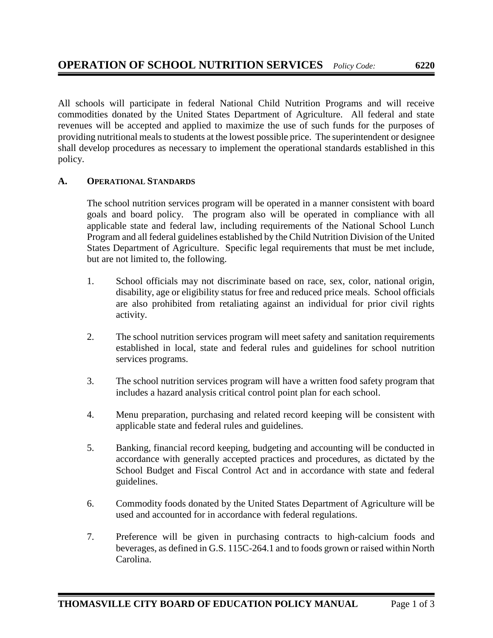All schools will participate in federal National Child Nutrition Programs and will receive commodities donated by the United States Department of Agriculture. All federal and state revenues will be accepted and applied to maximize the use of such funds for the purposes of providing nutritional meals to students at the lowest possible price. The superintendent or designee shall develop procedures as necessary to implement the operational standards established in this policy.

## **A. OPERATIONAL STANDARDS**

The school nutrition services program will be operated in a manner consistent with board goals and board policy. The program also will be operated in compliance with all applicable state and federal law, including requirements of the National School Lunch Program and all federal guidelines established by the Child Nutrition Division of the United States Department of Agriculture. Specific legal requirements that must be met include, but are not limited to, the following.

- 1. School officials may not discriminate based on race, sex, color, national origin, disability, age or eligibility status for free and reduced price meals. School officials are also prohibited from retaliating against an individual for prior civil rights activity.
- 2. The school nutrition services program will meet safety and sanitation requirements established in local, state and federal rules and guidelines for school nutrition services programs.
- 3. The school nutrition services program will have a written food safety program that includes a hazard analysis critical control point plan for each school.
- 4. Menu preparation, purchasing and related record keeping will be consistent with applicable state and federal rules and guidelines.
- 5. Banking, financial record keeping, budgeting and accounting will be conducted in accordance with generally accepted practices and procedures, as dictated by the School Budget and Fiscal Control Act and in accordance with state and federal guidelines.
- 6. Commodity foods donated by the United States Department of Agriculture will be used and accounted for in accordance with federal regulations.
- 7. Preference will be given in purchasing contracts to high-calcium foods and beverages, as defined in G.S. 115C-264.1 and to foods grown or raised within North Carolina.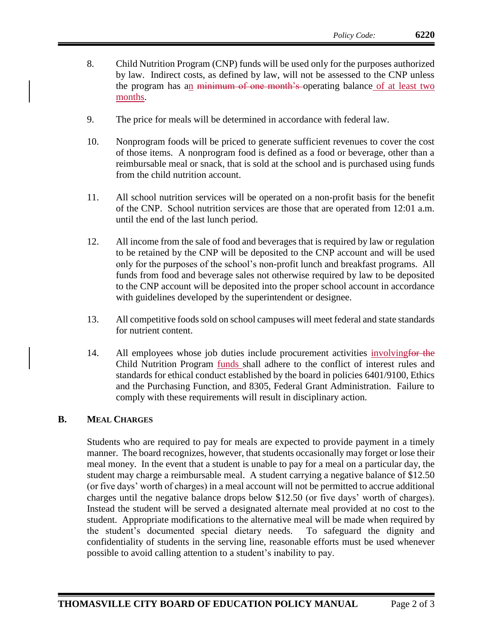- 8. Child Nutrition Program (CNP) funds will be used only for the purposes authorized by law. Indirect costs, as defined by law, will not be assessed to the CNP unless the program has an minimum of one month's operating balance of at least two months.
- 9. The price for meals will be determined in accordance with federal law.
- 10. Nonprogram foods will be priced to generate sufficient revenues to cover the cost of those items. A nonprogram food is defined as a food or beverage, other than a reimbursable meal or snack, that is sold at the school and is purchased using funds from the child nutrition account.
- 11. All school nutrition services will be operated on a non-profit basis for the benefit of the CNP. School nutrition services are those that are operated from 12:01 a.m. until the end of the last lunch period.
- 12. All income from the sale of food and beverages that is required by law or regulation to be retained by the CNP will be deposited to the CNP account and will be used only for the purposes of the school's non-profit lunch and breakfast programs. All funds from food and beverage sales not otherwise required by law to be deposited to the CNP account will be deposited into the proper school account in accordance with guidelines developed by the superintendent or designee.
- 13. All competitive foods sold on school campuses will meet federal and state standards for nutrient content.
- 14. All employees whose job duties include procurement activities involving for the Child Nutrition Program funds shall adhere to the conflict of interest rules and standards for ethical conduct established by the board in policies 6401/9100, Ethics and the Purchasing Function, and 8305, Federal Grant Administration. Failure to comply with these requirements will result in disciplinary action.

## **B. MEAL CHARGES**

Students who are required to pay for meals are expected to provide payment in a timely manner. The board recognizes, however, that students occasionally may forget or lose their meal money. In the event that a student is unable to pay for a meal on a particular day, the student may charge a reimbursable meal. A student carrying a negative balance of \$12.50 (or five days' worth of charges) in a meal account will not be permitted to accrue additional charges until the negative balance drops below \$12.50 (or five days' worth of charges). Instead the student will be served a designated alternate meal provided at no cost to the student. Appropriate modifications to the alternative meal will be made when required by the student's documented special dietary needs. To safeguard the dignity and confidentiality of students in the serving line, reasonable efforts must be used whenever possible to avoid calling attention to a student's inability to pay.